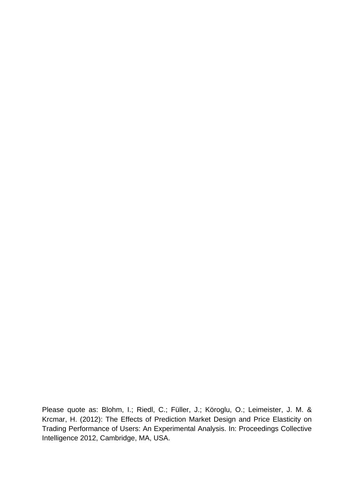Please quote as: Blohm, I.; Riedl, C.; Füller, J.; Köroglu, O.; Leimeister, J. M. & Krcmar, H. (2012): The Effects of Prediction Market Design and Price Elasticity on Trading Performance of Users: An Experimental Analysis. In: Proceedings Collective Intelligence 2012, Cambridge, MA, USA.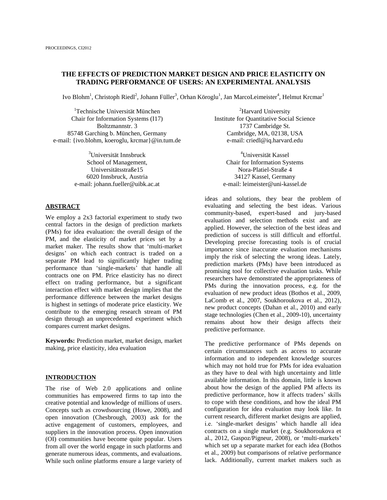# **THE EFFECTS OF PREDICTION MARKET DESIGN AND PRICE ELASTICITY ON TRADING PERFORMANCE OF USERS: AN EXPERIMENTAL ANALYSIS**

Ivo Blohm<sup>1</sup>, Christoph Riedl<sup>2</sup>, Johann Füller<sup>3</sup>, Orhan Köroglu<sup>1</sup>, Jan MarcoLeimeister<sup>4</sup>, Helmut Krcmar<sup>1</sup>

<sup>1</sup>Technische Universität München Chair for Information Systems (I17) Boltzmannstr. 3 85748 Garching b. München, Germany e-mail: {ivo.blohm, koeroglu, krcmar}@in.tum.de

> <sup>3</sup>Universität Innsbruck School of Management, Universitätsstraße15 6020 Innsbruck, Austria e-mail: johann.fueller@uibk.ac.at

#### **ABSTRACT**

We employ a 2x3 factorial experiment to study two central factors in the design of prediction markets (PMs) for idea evaluation: the overall design of the PM, and the elasticity of market prices set by a market maker. The results show that 'multi-market designs' on which each contract is traded on a separate PM lead to significantly higher trading performance than 'single-markets' that handle all contracts one on PM. Price elasticity has no direct effect on trading performance, but a significant interaction effect with market design implies that the performance difference between the market designs is highest in settings of moderate price elasticity. We contribute to the emerging research stream of PM design through an unprecedented experiment which compares current market designs.

**Keywords:** Prediction market, market design, market making, price elasticity, idea evaluation

#### **INTRODUCTION**

The rise of Web 2.0 applications and online communities has empowered firms to tap into the creative potential and knowledge of millions of users. Concepts such as crowdsourcing (Howe, 2008), and open innovation (Chesbrough, 2003) ask for the active engagement of customers, employees, and suppliers in the innovation process. Open innovation (OI) communities have become quite popular. Users from all over the world engage in such platforms and generate numerous ideas, comments, and evaluations. While such online platforms ensure a large variety of

<sup>2</sup>Harvard University Institute for Quantitative Social Science 1737 Cambridge St. Cambridge, MA, 02138, USA e-mail: criedl@iq.harvard.edu

<sup>4</sup>Universität Kassel Chair for Information Systems Nora-Platiel-Straße 4 34127 Kassel, Germany e-mail: leimeister@uni-kassel.de

ideas and solutions, they bear the problem of evaluating and selecting the best ideas. Various community-based, expert-based and jury-based evaluation and selection methods exist and are applied. However, the selection of the best ideas and prediction of success is still difficult and effortful. Developing precise forecasting tools is of crucial importance since inaccurate evaluation mechanisms imply the risk of selecting the wrong ideas. Lately, prediction markets (PMs) have been introduced as promising tool for collective evaluation tasks. While researchers have demonstrated the appropriateness of PMs during the innovation process, e.g. for the evaluation of new product ideas (Bothos et al., 2009, LaComb et al., 2007, Soukhoroukova et al., 2012), new product concepts (Dahan et al., 2010) and early stage technologies (Chen et al., 2009-10), uncertainty remains about how their design affects their predictive performance.

The predictive performance of PMs depends on certain circumstances such as access to accurate information and to independent knowledge sources which may not hold true for PMs for idea evaluation as they have to deal with high uncertainty and little available information. In this domain, little is known about how the design of the applied PM affects its predictive performance, how it affects traders' skills to cope with these conditions, and how the ideal PM configuration for idea evaluation may look like. In current research, different market designs are applied, i.e. 'single-market designs' which handle all idea contracts on a single market (e.g. Soukhoroukova et al., 2012, Gaspoz/Pigneur, 2008), or 'multi-markets' which set up a separate market for each idea (Bothos et al., 2009) but comparisons of relative performance lack. Additionally, current market makers such as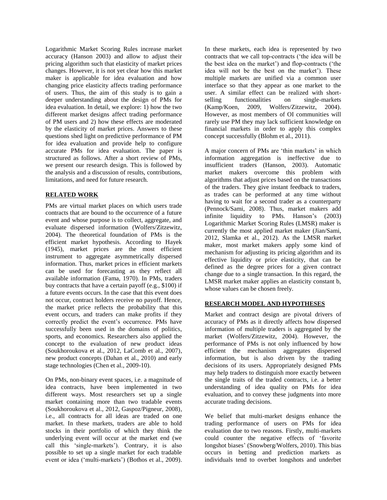Logarithmic Market Scoring Rules increase market accuracy (Hanson 2003) and allow to adjust their pricing algorithm such that elasticity of market prices changes. However, it is not yet clear how this market maker is applicable for idea evaluation and how changing price elasticity affects trading performance of users. Thus, the aim of this study is to gain a deeper understanding about the design of PMs for idea evaluation. In detail, we explore: 1) how the two different market designs affect trading performance of PM users and 2) how these effects are moderated by the elasticity of market prices. Answers to these questions shed light on predictive performance of PM for idea evaluation and provide help to configure accurate PMs for idea evaluation. The paper is structured as follows. After a short review of PMs, we present our research design. This is followed by the analysis and a discussion of results, contributions, limitations, and need for future research.

# **RELATED WORK**

PMs are virtual market places on which users trade contracts that are bound to the occurrence of a future event and whose purpose is to collect, aggregate, and evaluate dispersed information (Wolfers/Zitzewitz, 2004). The theoretical foundation of PMs is the efficient market hypothesis. According to Hayek (1945), market prices are the most efficient instrument to aggregate asymmetrically dispersed information. Thus, market prices in efficient markets can be used for forecasting as they reflect all available information (Fama, 1970). In PMs, traders buy contracts that have a certain payoff (e.g., \$100) if a future events occurs. In the case that this event does not occur, contract holders receive no payoff. Hence, the market price reflects the probability that this event occurs, and traders can make profits if they correctly predict the event's occurrence. PMs have successfully been used in the domains of politics, sports, and economics. Researchers also applied the concept to the evaluation of new product ideas (Soukhoroukova et al., 2012, LaComb et al., 2007), new product concepts (Dahan et al., 2010) and early stage technologies (Chen et al., 2009-10).

On PMs, non-binary event spaces, i.e. a magnitude of idea contracts, have been implemented in two different ways. Most researchers set up a single market containing more than two tradable events (Soukhoroukova et al., 2012, Gaspoz/Pigneur, 2008), i.e., all contracts for all ideas are traded on one market. In these markets, traders are able to hold stocks in their portfolio of which they think the underlying event will occur at the market end (we call this 'single-markets'). Contrary, it is also possible to set up a single market for each tradable event or idea ('multi-markets') (Bothos et al., 2009).

In these markets, each idea is represented by two contracts that we call top-contracts ('the idea will be the best idea on the market') and flop-contracts ('the idea will not be the best on the market'). These multiple markets are unified via a common user interface so that they appear as one market to the user. A similar effect can be realized with shortselling functionalities on single-markets (Kamp/Koen, 2009, Wolfers/Zitzewitz, 2004). However, as most members of OI communities will rarely use PM they may lack sufficient knowledge on financial markets in order to apply this complex concept successfully (Blohm et al., 2011).

A major concern of PMs are 'thin markets' in which information aggregation is ineffective due to insufficient traders (Hanson, 2003). Automatic market makers overcome this problem with algorithms that adjust prices based on the transactions of the traders. They give instant feedback to traders, as trades can be performed at any time without having to wait for a second trader as a counterparty (Pennock/Sami, 2008). Thus, market makers add infinite liquidity to PMs. Hanson's (2003) Logarithmic Market Scoring Rules (LMSR) maker is currently the most applied market maker (Jian/Sami, 2012, Slamka et al., 2012). As the LMSR market maker, most market makers apply some kind of mechanism for adjusting its pricing algorithm and its effective liquidity or price elasticity, that can be defined as the degree prices for a given contract change due to a single transaction. In this regard, the LMSR market maker applies an elasticity constant b, whose values can be chosen freely.

# **RESEARCH MODEL AND HYPOTHESES**

Market and contract design are pivotal drivers of accuracy of PMs as it directly affects how dispersed information of multiple traders is aggregated by the market (Wolfers/Zitzewitz, 2004). However, the performance of PMs is not only influenced by how efficient the mechanism aggregates dispersed information, but is also driven by the trading decisions of its users. Appropriately designed PMs may help traders to distinguish more exactly between the single traits of the traded contracts, i.e. a better understanding of idea quality on PMs for idea evaluation, and to convey these judgments into more accurate trading decisions.

We belief that multi-market designs enhance the trading performance of users on PMs for idea evaluation due to two reasons. Firstly, multi-markets could counter the negative effects of 'favorite longshot biases' (Snowberg/Wolfers, 2010). This bias occurs in betting and prediction markets as individuals tend to overbet longshots and underbet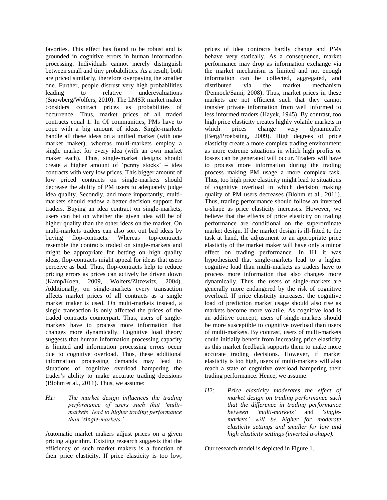favorites. This effect has found to be robust and is grounded in cognitive errors in human information processing. Individuals cannot merely distinguish between small and tiny probabilities. As a result, both are priced similarly, therefore overpaying the smaller one. Further, people distrust very high probabilities leading to relative underevaluations (Snowberg/Wolfers, 2010). The LMSR market maker considers contract prices as probabilities of occurrence. Thus, market prices of all traded contracts equal 1. In OI communities, PMs have to cope with a big amount of ideas. Single-markets handle all these ideas on a unified market (with one market maker), whereas multi-markets employ a single market for every idea (with an own market maker each). Thus, single-market designs should create a higher amount of 'penny stocks' – idea contracts with very low prices. This bigger amount of low priced contracts on single-markets should decrease the ability of PM users to adequately judge idea quality. Secondly, and more importantly, multimarkets should endow a better decision support for traders. Buying an idea contract on single-markets, users can bet on whether the given idea will be of higher quality than the other ideas on the market. On multi-markets traders can also sort out bad ideas by buying flop-contracts. Whereas top-contracts resemble the contracts traded on single-markets and might be appropriate for betting on high quality ideas, flop-contracts might appeal for ideas that users perceive as bad. Thus, flop-contracts help to reduce pricing errors as prices can actively be driven down (Kamp/Koen, 2009, Wolfers/Zitzewitz, 2004). Additionally, on single-markets every transaction affects market prices of all contracts as a single market maker is used. On multi-markets instead, a single transaction is only affected the prices of the traded contracts counterpart. Thus, users of singlemarkets have to process more information that changes more dynamically. Cognitive load theory suggests that human information processing capacity is limited and information processing errors occur due to cognitive overload. Thus, these additional information processing demands may lead to situations of cognitive overload hampering the trader's ability to make accurate trading decisions (Blohm et al., 2011). Thus, we assume:

*H1: The market design influences the trading performance of users such that 'multimarkets' lead to higher trading performance than 'single-markets.'*

Automatic market makers adjust prices on a given pricing algorithm. Existing research suggests that the efficiency of such market makers is a function of their price elasticity. If price elasticity is too low,

prices of idea contracts hardly change and PMs behave very statically. As a consequence, market performance may drop as information exchange via the market mechanism is limited and not enough information can be collected, aggregated, and distributed via the market mechanism (Pennock/Sami, 2008). Thus, market prices in these markets are not efficient such that they cannot transfer private information from well informed to less informed traders (Hayek, 1945). By contrast, too high price elasticity creates highly volatile markets in which prices change very dynamically (Berg/Proebsting, 2009). High degrees of price elasticity create a more complex trading environment as more extreme situations in which high profits or losses can be generated will occur. Traders will have to process more information during the trading process making PM usage a more complex task. Thus, too high price elasticity might lead to situations of cognitive overload in which decision making quality of PM users decreases (Blohm et al., 2011). Thus, trading performance should follow an inverted u-shape as price elasticity increases. However, we believe that the effects of price elasticity on trading performance are conditional on the superordinate market design. If the market design is ill-fitted to the task at hand, the adjustment to an appropriate price elasticity of the market maker will have only a minor effect on trading performance. In H1 it was hypothesized that single-markets lead to a higher cognitive load than multi-markets as traders have to process more information that also changes more dynamically. Thus, the users of single-markets are generally more endangered by the risk of cognitive overload. If price elasticity increases, the cognitive load of prediction market usage should also rise as markets become more volatile. As cognitive load is an additive concept, users of single-markets should be more susceptible to cognitive overload than users of multi-markets. By contrast, users of multi-markets could initially benefit from increasing price elasticity as this market feedback supports them to make more accurate trading decisions. However, if market elasticity is too high, users of multi-markets will also reach a state of cognitive overload hampering their trading performance. Hence, we assume:

*H2: Price elasticity moderates the effect of market design on trading performance such that the difference in trading performance between 'multi-markets'* and *'singlemarkets' will be higher for moderate elasticity settings and smaller for low and high elasticity settings (inverted u-shape).*

Our research model is depicted in Figure 1.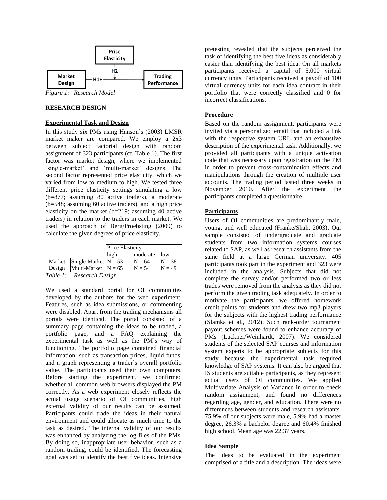

*Figure 1: Research Model*

# **RESEARCH DESIGN**

#### **Experimental Task and Design**

In this study six PMs using Hanson's (2003) LMSR market maker are compared. We employ a 2x3 between subject factorial design with random assignment of 323 participants (cf. Table 1). The first factor was market design, where we implemented 'single-market' and 'multi-market' designs. The second factor represented price elasticity, which we varied from low to medium to high. We tested three different price elasticity settings simulating a low (b=877; assuming 80 active traders), a moderate (b=548; assuming 60 active traders), and a high price elasticity on the market (b=219; assuming 40 active traders) in relation to the traders in each market. We used the approach of Berg/Proebsting (2009) to calculate the given degrees of price elasticity.

|        |                        | <b>Price Elasticity</b> |          |          |
|--------|------------------------|-------------------------|----------|----------|
|        |                        | high                    | moderate | low      |
| Market | Single-Market $N = 53$ |                         | $N = 64$ | $N = 38$ |
| Design | Multi-Market $N = 65$  |                         | $N = 54$ | $= 49$   |

*Table 1: Research Design*

We used a standard portal for OI communities developed by the authors for the web experiment. Features, such as idea submissions, or commenting were disabled. Apart from the trading mechanisms all portals were identical. The portal consisted of a summary page containing the ideas to be traded, a portfolio page, and a FAQ explaining the experimental task as well as the PM's way of functioning. The portfolio page contained financial information, such as transaction prices, liquid funds, and a graph representing a trader's overall portfolio value. The participants used their own computers. Before starting the experiment, we confirmed whether all common web browsers displayed the PM correctly. As a web experiment closely reflects the actual usage scenario of OI communities, high external validity of our results can be assumed. Participants could trade the ideas in their natural environment and could allocate as much time to the task as desired. The internal validity of our results was enhanced by analyzing the log files of the PMs. By doing so, inappropriate user behavior, such as a random trading, could be identified. The forecasting goal was set to identify the best five ideas. Intensive

pretesting revealed that the subjects perceived the task of identifying the best five ideas as considerably easier than identifying the best idea. On all markets participants received a capital of 5,000 virtual currency units. Participants received a payoff of 100 virtual currency units for each idea contract in their portfolio that were correctly classified and 0 for incorrect classifications.

# **Procedure**

Based on the random assignment, participants were invited via a personalized email that included a link with the respective system URL and an exhaustive description of the experimental task. Additionally, we provided all participants with a unique activation code that was necessary upon registration on the PM in order to prevent cross-contamination effects and manipulations through the creation of multiple user accounts. The trading period lasted three weeks in November 2010. After the experiment the participants completed a questionnaire.

### **Participants**

Users of OI communities are predominantly male, young, and well educated (Franke/Shah, 2003). Our sample consisted of undergraduate and graduate students from two information systems courses related to SAP, as well as research assistants from the same field at a large German university. 405 participants took part in the experiment and 323 were included in the analysis. Subjects that did not complete the survey and/or performed two or less trades were removed from the analysis as they did not perform the given trading task adequately. In order to motivate the participants, we offered homework credit points for students and drew two mp3 players for the subjects with the highest trading performance (Slamka et al., 2012). Such rank-order tournament payout schemes were found to enhance accuracy of PMs (Luckner/Weinhardt, 2007). We considered students of the selected SAP courses and information system experts to be appropriate subjects for this study because the experimental task required knowledge of SAP systems. It can also be argued that IS students are suitable participants, as they represent actual users of OI communities. We applied Multivariate Analysis of Variance in order to check random assignment, and found no differences regarding age, gender, and education. There were no differences between students and research assistants. 75.9% of our subjects were male, 5.9% had a master degree, 26.3% a bachelor degree and 60.4% finished high school. Mean age was 22.37 years.

### **Idea Sample**

The ideas to be evaluated in the experiment comprised of a title and a description. The ideas were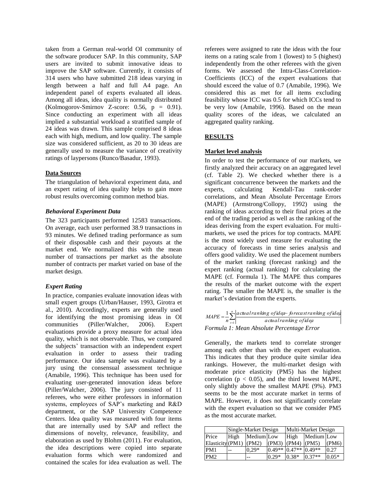taken from a German real-world OI community of the software producer SAP. In this community, SAP users are invited to submit innovative ideas to improve the SAP software. Currently, it consists of 314 users who have submitted 218 ideas varying in length between a half and full A4 page. An independent panel of experts evaluated all ideas. Among all ideas, idea quality is normally distributed (Kolmogorov-Smirnov Z-score: 0.56, p = 0.91). Since conducting an experiment with all ideas implied a substantial workload a stratified sample of 24 ideas was drawn. This sample comprised 8 ideas each with high, medium, and low quality. The sample size was considered sufficient, as 20 to 30 ideas are generally used to measure the variance of creativity ratings of laypersons (Runco/Basadur, 1993).

### **Data Sources**

The triangulation of behavioral experiment data, and an expert rating of idea quality helps to gain more robust results overcoming common method bias.

### *Behavioral Experiment Data*

The 323 participants performed 12583 transactions. On average, each user performed 38.9 transactions in 93 minutes. We defined trading performance as sum of their disposable cash and their payouts at the market end. We normalized this with the mean number of transactions per market as the absolute number of contracts per market varied on base of the market design.

# *Expert Rating*

In practice, companies evaluate innovation ideas with small expert groups (Urban/Hauser, 1993, Girotra et al., 2010). Accordingly, experts are generally used for identifying the most promising ideas in OI communities (Piller/Walcher, 2006). Expert evaluations provide a proxy measure for actual idea quality, which is not observable. Thus, we compared the subjects' transaction with an independent expert evaluation in order to assess their trading performance. Our idea sample was evaluated by a jury using the consensual assessment technique (Amabile, 1996). This technique has been used for evaluating user-generated innovation ideas before (Piller/Walcher, 2006). The jury consisted of 11 referees, who were either professors in information systems, employees of SAP's marketing and R&D department, or the SAP University Competence Centers. Idea quality was measured with four items that are internally used by SAP and reflect the dimensions of novelty, relevance, feasibility, and elaboration as used by Blohm (2011). For evaluation, the idea descriptions were copied into separate evaluation forms which were randomized and contained the scales for idea evaluation as well. The

referees were assigned to rate the ideas with the four items on a rating scale from 1 (lowest) to 5 (highest) independently from the other referees with the given forms. We assessed the Intra-Class-Correlation-Coefficients (ICC) of the expert evaluations that should exceed the value of 0.7 (Amabile, 1996). We considered this as met for all items excluding feasibility whose ICC was 0.5 for which ICCs tend to be very low (Amabile, 1996). Based on the mean quality scores of the ideas, we calculated an aggregated quality ranking.

# **RESULTS**

# **Market level analysis**

In order to test the performance of our markets, we firstly analyzed their accuracy on an aggregated level (cf. Table 2). We checked whether there is a significant concurrence between the markets and the experts, calculating Kendall-Tau rank-order correlations, and Mean Absolute Percentage Errors (MAPE) (Armstrong/Collopy, 1992) using the ranking of ideas according to their final prices at the end of the trading period as well as the ranking of the ideas deriving from the expert evaluation. For multimarkets, we used the prices for top contracts. MAPE is the most widely used measure for evaluating the accuracy of forecasts in time series analysis and offers good validity. We used the placement numbers of the market ranking (forecast ranking) and the expert ranking (actual ranking) for calculating the MAPE (cf. Formula 1). The MAPE thus compares the results of the market outcome with the expert rating. The smaller the MAPE is, the smaller is the market's deviation from the experts.

|                      | $MAPE = \frac{1}{2} \sum_{n=1}^{\infty} \frac{ actual \, ranking \, of \, id \, eq}{ det \, def}$ |
|----------------------|---------------------------------------------------------------------------------------------------|
| $n_{\overline{t-1}}$ | actualranking of idea                                                                             |
|                      | Formula 1: Mean Absolute Percentage Error                                                         |

Generally, the markets tend to correlate stronger among each other than with the expert evaluation. This indicates that they produce quite similar idea rankings. However, the multi-market design with moderate price elasticity (PM5) has the highest correlation ( $p < 0.05$ ), and the third lowest MAPE, only slightly above the smallest MAPE (9%). PM3 seems to be the most accurate market in terms of MAPE. However, it does not significantly correlate with the expert evaluation so that we consider PM5 as the most accurate market.

|                  | Single-Market Design |            |          | Multi-Market Design |            |         |
|------------------|----------------------|------------|----------|---------------------|------------|---------|
| Price            | High                 | Medium Low |          | High                | Medium Low |         |
| Elasticity (PM1) |                      | (PM2)      | (PM3)    | (PM4)               | (PM5)      | (PM6)   |
| PM1              | --                   | $0.29*$    | $0.49**$ | $0.47**$ 0.49**     |            | 0.27    |
| PM <sub>2</sub>  |                      |            | $0.29*$  | $0.38*$             | $0.37**$   | $0.05*$ |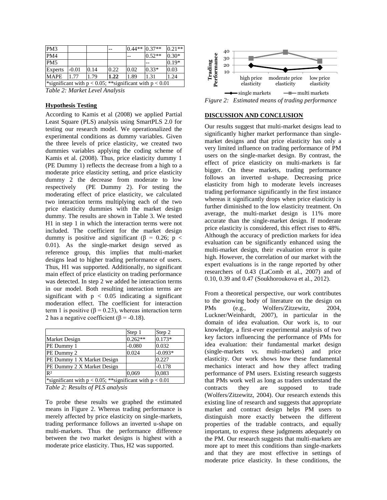| PM <sub>3</sub>                                              |         |      |      | $0.44**$ 0.37** |          | $0.21**$ |
|--------------------------------------------------------------|---------|------|------|-----------------|----------|----------|
| PM4                                                          |         |      |      |                 | $0.52**$ | $0.30*$  |
| PM <sub>5</sub>                                              |         |      |      |                 |          | $0.19*$  |
| <b>Experts</b>                                               | $-0.01$ | 0.14 | 0.22 | 0.02            | $0.33*$  | 0.03     |
| <b>MAPE</b>                                                  | 1.77    | 1.79 | 1.22 | 1.89            | 1.31     | 1.24     |
| *significant with $p < 0.05$ ; **significant with $p < 0.01$ |         |      |      |                 |          |          |

*Table 2: Market Level Analysis*

### **Hypothesis Testing**

According to Kamis et al (2008) we applied Partial Least Square (PLS) analysis using SmartPLS 2.0 for testing our research model. We operationalized the experimental conditions as dummy variables. Given the three levels of price elasticity, we created two dummies variables applying the coding scheme of Kamis et al. (2008). Thus, price elasticity dummy 1 (PE Dummy 1) reflects the decrease from a high to a moderate price elasticity setting, and price elasticity dummy 2 the decrease from moderate to low respectively (PE Dummy 2). For testing the moderating effect of price elasticity, we calculated two interaction terms multiplying each of the two price elasticity dummies with the market design dummy. The results are shown in Table 3. We tested H1 in step 1 in which the interaction terms were not included. The coefficient for the market design dummy is positive and significant ( $\beta$  = 0.26; p < 0.01). As the single-market design served as reference group, this implies that multi-market designs lead to higher trading performance of users. Thus, H1 was supported. Additionally, no significant main effect of price elasticity on trading performance was detected. In step 2 we added he interaction terms in our model. Both resulting interaction terms are significant with  $p < 0.05$  indicating a significant moderation effect. The coefficient for interaction term 1 is positive ( $\beta$  = 0.23), whereas interaction term 2 has a negative coefficient ( $\beta$  = -0.18).

|                                                              | Step 1    | Step 2    |  |  |
|--------------------------------------------------------------|-----------|-----------|--|--|
| <b>Market Design</b>                                         | $0.262**$ | $0.173*$  |  |  |
| PE Dummy 1                                                   | $-0.080$  | 0.032     |  |  |
| PE Dummy 2                                                   | 0.024     | $-0.093*$ |  |  |
| PE Dummy 1 X Market Design                                   |           | 0.227     |  |  |
| PE Dummy 2 X Market Design                                   |           | $-0.178$  |  |  |
| R <sup>2</sup>                                               | 0,069     | 0.083     |  |  |
| *significant with $p < 0.05$ ; **significant with $p < 0.01$ |           |           |  |  |

*Table 2: Results of PLS analysis*

To probe these results we graphed the estimated means in Figure 2. Whereas trading performance is merely affected by price elasticity on single-markets, trading performance follows an inverted u-shape on multi-markets. Thus the performance difference between the two market designs is highest with a moderate price elasticity. Thus, H2 was supported.



#### **DISCUSSION AND CONCLUSION**

Our results suggest that multi-market designs lead to significantly higher market performance than singlemarket designs and that price elasticity has only a very limited influence on trading performance of PM users on the single-market design. By contrast, the effect of price elasticity on multi-markets is far bigger. On these markets, trading performance follows an inverted u-shape. Decreasing price elasticity from high to moderate levels increases trading performance significantly in the first instance whereas it significantly drops when price elasticity is further diminished to the low elasticity treatment. On average, the multi-market design is 11% more accurate than the single-market design. If moderate price elasticity is considered, this effect rises to 48%. Although the accuracy of prediction markets for idea evaluation can be significantly enhanced using the multi-market design, their evaluation error is quite high. However, the correlation of our market with the expert evaluations is in the range reported by other researchers of 0.43 (LaComb et al., 2007) and of 0.10, 0.39 and 0.47 (Soukhoroukova et al., 2012).

From a theoretical perspective, our work contributes to the growing body of literature on the design on PMs (e.g., Wolfers/Zitzewitz, 2004, Luckner/Weinhardt, 2007), in particular in the domain of idea evaluation. Our work is, to our knowledge, a first-ever experimental analysis of two key factors influencing the performance of PMs for idea evaluation: their fundamental market design (single-markets vs. multi-markets) and price elasticity. Our work shows how these fundamental mechanics interact and how they affect trading performance of PM users. Existing research suggests that PMs work well as long as traders understand the contracts they are supposed to trade (Wolfers/Zitzewitz, 2004). Our research extends this existing line of research and suggests that appropriate market and contract design helps PM users to distinguish more exactly between the different properties of the tradable contracts, and equally important, to express these judgments adequately on the PM. Our research suggests that multi-markets are more apt to meet this conditions than single-markets and that they are most effective in settings of moderate price elasticity. In these conditions, the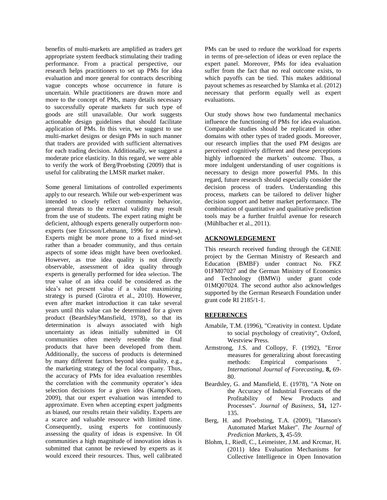benefits of multi-markets are amplified as traders get appropriate system feedback stimulating their trading performance. From a practical perspective, our research helps practitioners to set up PMs for idea evaluation and more general for contracts describing vague concepts whose occurrence in future is uncertain. While practitioners are drawn more and more to the concept of PMs, many details necessary to successfully operate markets fur such type of goods are still unavailable. Our work suggests actionable design guidelines that should facilitate application of PMs. In this vein, we suggest to use multi-market designs or design PMs in such manner that traders are provided with sufficient alternatives for each trading decision. Additionally, we suggest a moderate price elasticity. In this regard, we were able to verify the work of Berg/Proebsting (2009) that is useful for calibrating the LMSR market maker.

Some general limitations of controlled experiments apply to our research. While our web-experiment was intended to closely reflect community behavior, general threats to the external validity may result from the use of students. The expert rating might be deficient, although experts generally outperform nonexperts (see Ericsson/Lehmann, 1996 for a review). Experts might be more prone to a fixed mind-set rather than a broader community, and thus certain aspects of some ideas might have been overlooked. However, as true idea quality is not directly observable, assessment of idea quality through experts is generally performed for idea selection. The true value of an idea could be considered as the idea's net present value if a value maximizing strategy is pursed (Girotra et al., 2010). However, even after market introduction it can take several years until this value can be determined for a given product (Beardsley/Mansfield, 1978), so that its determination is always associated with high uncertainty as ideas initially submitted in OI communities often merely resemble the final products that have been developed from them. Additionally, the success of products is determined by many different factors beyond idea quality, e.g., the marketing strategy of the focal company. Thus, the accuracy of PMs for idea evaluation resembles the correlation with the community operator's idea selection decisions for a given idea (Kamp/Koen, 2009), that our expert evaluation was intended to approximate. Even when accepting expert judgments as biased, our results retain their validity. Experts are a scarce and valuable resource with limited time. Consequently, using experts for continuously assessing the quality of ideas is expensive. In OI communities a high magnitude of innovation ideas is submitted that cannot be reviewed by experts as it would exceed their resources. Thus, well calibrated

PMs can be used to reduce the workload for experts in terms of pre-selection of ideas or even replace the expert panel. Moreover, PMs for idea evaluation suffer from the fact that no real outcome exists, to which payoffs can be tied. This makes additional payout schemes as researched by Slamka et al. (2012) necessary that perform equally well as expert evaluations.

Our study shows how two fundamental mechanics influence the functioning of PMs for idea evaluation. Comparable studies should be replicated in other domains with other types of traded goods. Moreover, our research implies that the used PM designs are perceived cognitively different and these perceptions highly influenced the markets' outcome. Thus, a more indulgent understanding of user cognitions is necessary to design more powerful PMs. In this regard, future research should especially consider the decision process of traders. Understanding this process, markets can be tailored to deliver higher decision support and better market performance. The combination of quantitative and qualitative prediction tools may be a further fruitful avenue for research (Mühlbacher et al., 2011).

# **ACKNOWLEDGEMENT**

This research received funding through the GENIE project by the German Ministry of Research and Education (BMBF) under contract No. FKZ 01FM07027 and the German Ministry of Economics and Technology (BMWi) under grant code 01MQ07024. The second author also acknowledges supported by the German Research Foundation under grant code RI 2185/1-1.

### **REFERENCES**

- Amabile, T.M. (1996), "Creativity in context. Update to social psychology of creativity", Oxford, Westview Press.
- Armstrong, J.S. and Collopy, F. (1992), "Error measures for generalizing about forecasting methods: Empirical comparisons *International Journal of Forecasting,* **8,** 69- 80.
- Beardsley, G. and Mansfield, E. (1978), "A Note on the Accuracy of Industrial Forecasts of the Profitability of New Products and Processes". *Journal of Business,* **51,** 127- 135.
- Berg, H. and Proebsting, T.A. (2009), "Hanson's Automated Market Maker". *The Journal of Prediction Markets,* **3,** 45-59.
- Blohm, I., Riedl, C., Leimeister, J.M. and Krcmar, H. (2011) Idea Evaluation Mechanisms for Collective Intelligence in Open Innovation